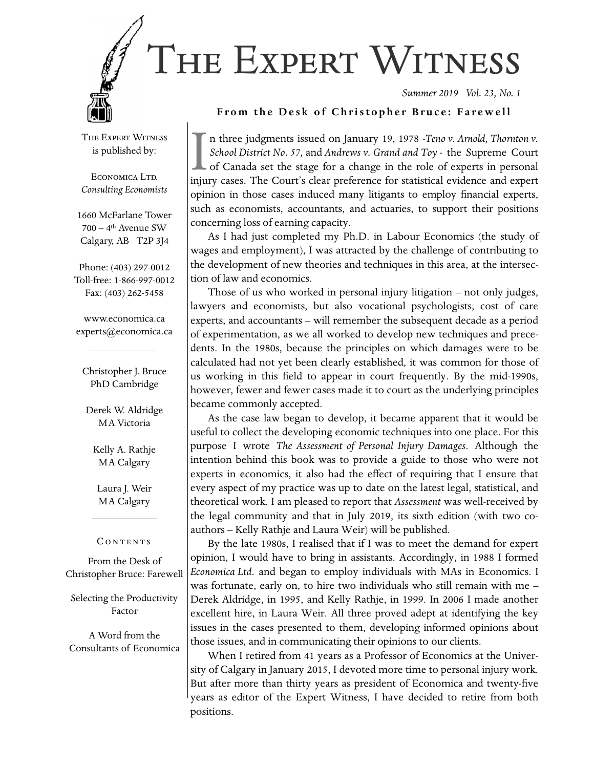

*Summer 2019 Vol. 23, No. 1* 

#### From the Desk of Christopher Bruce: Farewell

The Expert Witness is published by:

ECONOMICA LTD. *Consulting Economists*

1660 McFarlane Tower  $700 - 4$ <sup>th</sup> Avenue SW Calgary, AB T2P 3J4

Phone: (403) 297-0012 Toll-free: 1-866-997-0012 Fax: (403) 262-5458

www.economica.ca experts@economica.ca

Christopher J. Bruce PhD Cambridge

Derek W. Aldridge MA Victoria

Kelly A. Rathje MA Calgary

Laura J. Weir MA Calgary

#### CONTENTS

From the Desk of Christopher Bruce: Farewell

Selecting the Productivity Factor

A Word from the Consultants of Economica

In three judgments issued on January 19, 1978 -*Teno v. Arnold, Thornton v. School District No. 57, and Andrews v. Grand and Toy* - the Supreme Court of Canada set the stage for a change in the role of experts in persona *School District No. 57,* and *Andrews v. Grand and Toy* - the Supreme Court of Canada set the stage for a change in the role of experts in personal opinion in those cases induced many litigants to employ financial experts, such as economists, accountants, and actuaries, to support their positions concerning loss of earning capacity.

As I had just completed my Ph.D. in Labour Economics (the study of wages and employment), I was attracted by the challenge of contributing to the development of new theories and techniques in this area, at the intersection of law and economics.

Those of us who worked in personal injury litigation – not only judges, lawyers and economists, but also vocational psychologists, cost of care experts, and accountants – will remember the subsequent decade as a period of experimentation, as we all worked to develop new techniques and precedents. In the 1980s, because the principles on which damages were to be calculated had not yet been clearly established, it was common for those of us working in this field to appear in court frequently. By the mid-1990s, however, fewer and fewer cases made it to court as the underlying principles became commonly accepted.

As the case law began to develop, it became apparent that it would be useful to collect the developing economic techniques into one place. For this purpose I wrote *The Assessment of Personal Injury Damages*. Although the intention behind this book was to provide a guide to those who were not experts in economics, it also had the effect of requiring that I ensure that every aspect of my practice was up to date on the latest legal, statistical, and theoretical work. I am pleased to report that *Assessment* was well-received by the legal community and that in July 2019, its sixth edition (with two coauthors – Kelly Rathje and Laura Weir) will be published.

By the late 1980s, I realised that if I was to meet the demand for expert opinion, I would have to bring in assistants. Accordingly, in 1988 I formed *Economica Ltd.* and began to employ individuals with MAs in Economics. I was fortunate, early on, to hire two individuals who still remain with me – Derek Aldridge, in 1995, and Kelly Rathje, in 1999. In 2006 I made another excellent hire, in Laura Weir. All three proved adept at identifying the key issues in the cases presented to them, developing informed opinions about those issues, and in communicating their opinions to our clients.

When I retired from 41 years as a Professor of Economics at the University of Calgary in January 2015, I devoted more time to personal injury work. But after more than thirty years as president of Economica and twenty-five years as editor of the Expert Witness, I have decided to retire from both positions.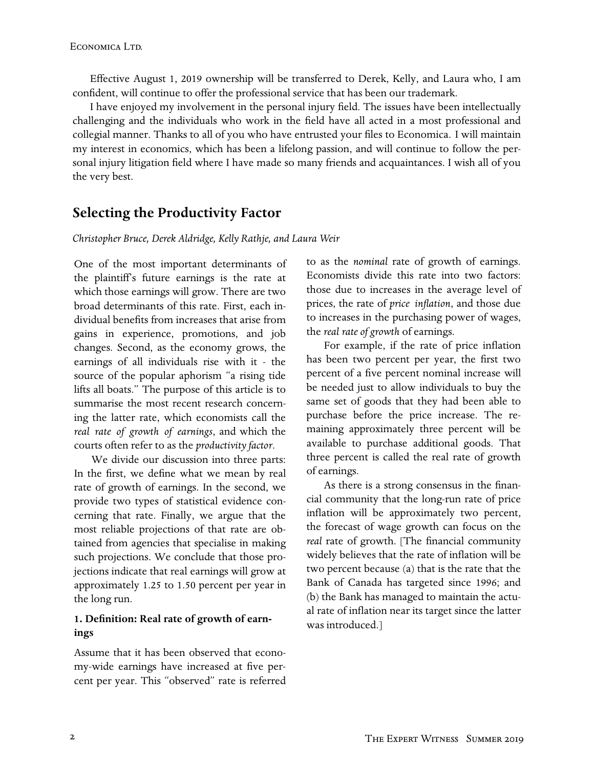Effective August 1, 2019 ownership will be transferred to Derek, Kelly, and Laura who, I am confident, will continue to offer the professional service that has been our trademark.

I have enjoyed my involvement in the personal injury field. The issues have been intellectually challenging and the individuals who work in the field have all acted in a most professional and collegial manner. Thanks to all of you who have entrusted your files to Economica. I will maintain my interest in economics, which has been a lifelong passion, and will continue to follow the personal injury litigation field where I have made so many friends and acquaintances. I wish all of you the very best.

# **Selecting the Productivity Factor**

#### *Christopher Bruce, Derek Aldridge, Kelly Rathje, and Laura Weir*

One of the most important determinants of the plaintiff's future earnings is the rate at which those earnings will grow. There are two broad determinants of this rate. First, each individual benefits from increases that arise from gains in experience, promotions, and job changes. Second, as the economy grows, the earnings of all individuals rise with it - the source of the popular aphorism "a rising tide lifts all boats." The purpose of this article is to summarise the most recent research concerning the latter rate, which economists call the *real rate of growth of earnings*, and which the courts often refer to as the *productivity factor*.

We divide our discussion into three parts: In the first, we define what we mean by real rate of growth of earnings. In the second, we provide two types of statistical evidence concerning that rate. Finally, we argue that the most reliable projections of that rate are obtained from agencies that specialise in making such projections. We conclude that those projections indicate that real earnings will grow at approximately 1.25 to 1.50 percent per year in the long run.

### 1. Definition: Real rate of growth of earn**ings**

Assume that it has been observed that economy-wide earnings have increased at five percent per year. This "observed" rate is referred to as the *nominal* rate of growth of earnings. Economists divide this rate into two factors: those due to increases in the average level of prices, the rate of *price inflation*, and those due to increases in the purchasing power of wages, the *real rate of growth* of earnings.

For example, if the rate of price inflation has been two percent per year, the first two percent of a five percent nominal increase will be needed just to allow individuals to buy the same set of goods that they had been able to purchase before the price increase. The remaining approximately three percent will be available to purchase additional goods. That three percent is called the real rate of growth of earnings.

As there is a strong consensus in the financial community that the long-run rate of price inflation will be approximately two percent, the forecast of wage growth can focus on the real rate of growth. [The financial community widely believes that the rate of inflation will be two percent because (a) that is the rate that the Bank of Canada has targeted since 1996; and (b) the Bank has managed to maintain the actual rate of inflation near its target since the latter was introduced.]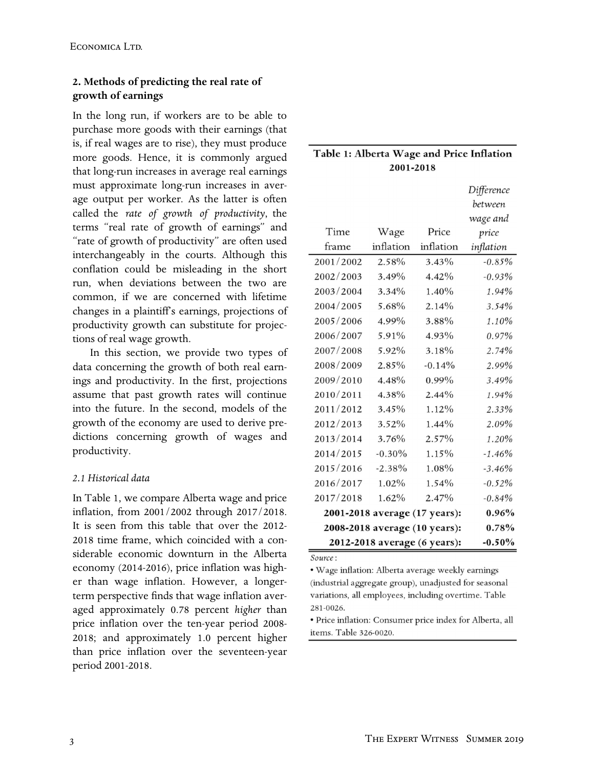## **2. Methods of predicting the real rate of growth of earnings**

In the long run, if workers are to be able to purchase more goods with their earnings (that is, if real wages are to rise), they must produce more goods. Hence, it is commonly argued that long-run increases in average real earnings must approximate long-run increases in average output per worker. As the latter is often called the *rate of growth of productivity*, the terms "real rate of growth of earnings" and "rate of growth of productivity" are often used interchangeably in the courts. Although this conflation could be misleading in the short run, when deviations between the two are common, if we are concerned with lifetime changes in a plaintiff's earnings, projections of productivity growth can substitute for projections of real wage growth.

In this section, we provide two types of data concerning the growth of both real earnings and productivity. In the first, projections assume that past growth rates will continue into the future. In the second, models of the growth of the economy are used to derive predictions concerning growth of wages and productivity.

### *2.1 Historical data*

In Table 1, we compare Alberta wage and price inflation, from 2001/2002 through 2017/2018. It is seen from this table that over the 2012- 2018 time frame, which coincided with a considerable economic downturn in the Alberta economy (2014-2016), price inflation was higher than wage inflation. However, a longerterm perspective finds that wage inflation averaged approximately 0.78 percent *higher* than price inflation over the ten-year period 2008-2018; and approximately 1.0 percent higher than price inflation over the seventeen-year period 2001-2018.

| Table 1: Alberta Wage and Price Inflation |  |  |  |
|-------------------------------------------|--|--|--|
| 2001-2018                                 |  |  |  |

|                               |                               |           | Difference |
|-------------------------------|-------------------------------|-----------|------------|
|                               |                               |           | between    |
|                               |                               |           | wage and   |
| Time                          | Wage                          | Price     | price      |
| frame                         | inflation                     | inflation | inflation  |
| 2001/2002                     | 2.58%                         | 3.43%     | $-0.85%$   |
| 2002/2003                     | 3.49%                         | 4.42%     | $-0.93%$   |
| 2003/2004                     | 3.34%                         | 1.40%     | 1.94%      |
| 2004/2005                     | 5.68%                         | 2.14%     | 3.54%      |
| 2005/2006                     | 4.99%                         | 3.88%     | 1.10%      |
| 2006/2007                     | 5.91%                         | 4.93%     | 0.97%      |
| 2007/2008                     | 5.92%                         | 3.18%     | 2.74%      |
| 2008/2009                     | 2.85%                         | $-0.14%$  | 2.99%      |
| 2009/2010                     | 4.48%                         | 0.99%     | 3.49%      |
| 2010/2011                     | 4.38%                         | $2.44\%$  | 1.94%      |
| 2011/2012                     | 3.45%                         | 1.12%     | 2.33%      |
| 2012/2013                     | 3.52%                         | 1.44%     | 2.09%      |
| 2013/2014                     | 3.76%                         | 2.57%     | 1.20%      |
| 2014/2015                     | $-0.30\%$                     | 1.15%     | $-1.46%$   |
| 2015/2016                     | $-2.38%$                      | 1.08%     | $-3.46%$   |
| 2016/2017                     | 1.02%                         | 1.54%     | $-0.52%$   |
| 2017/2018                     | 1.62%                         | 2.47%     | $-0.84%$   |
|                               | 2001-2018 average (17 years): |           | 0.96%      |
| 2008-2018 average (10 years): |                               |           | 0.78%      |
| 2012-2018 average (6 years):  |                               |           | $-0.50%$   |

Source:

· Wage inflation: Alberta average weekly earnings (industrial aggregate group), unadjusted for seasonal variations, all employees, including overtime. Table 281-0026.

· Price inflation: Consumer price index for Alberta, all items. Table 326-0020.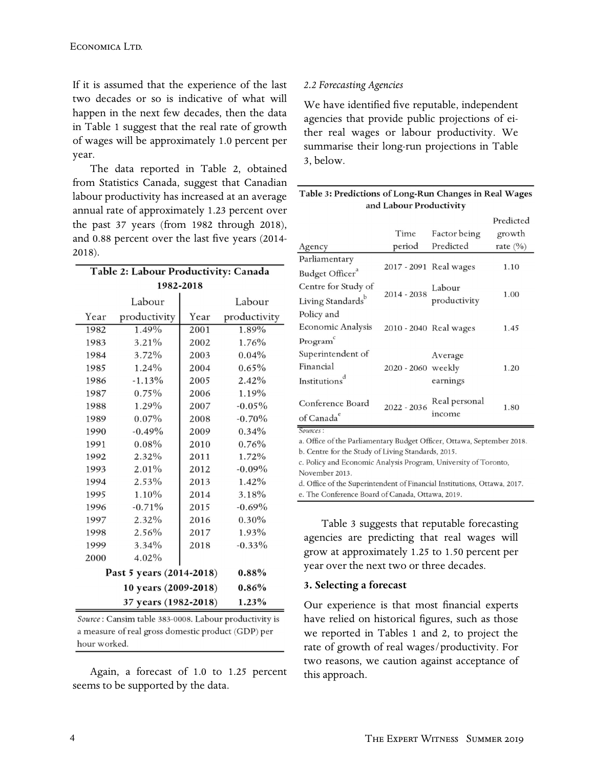If it is assumed that the experience of the last two decades or so is indicative of what will happen in the next few decades, then the data in Table 1 suggest that the real rate of growth of wages will be approximately 1.0 percent per year.

The data reported in Table 2, obtained from Statistics Canada, suggest that Canadian labour productivity has increased at an average annual rate of approximately 1.23 percent over the past 37 years (from 1982 through 2018), and  $0.88$  percent over the last five years (2014-2018).

| Table 2: Labour Productivity: Canada |                          |      |              |  |  |
|--------------------------------------|--------------------------|------|--------------|--|--|
| 1982-2018                            |                          |      |              |  |  |
|                                      | Labour                   |      | Labour       |  |  |
| Year                                 | productivity             | Year | productivity |  |  |
| 1982                                 | 1.49%                    | 2001 | 1.89%        |  |  |
| 1983                                 | 3.21%                    | 2002 | 1.76%        |  |  |
| 1984                                 | 3.72%                    | 2003 | $0.04\%$     |  |  |
| 1985                                 | 1.24%                    | 2004 | $0.65\%$     |  |  |
| 1986                                 | $-1.13%$                 | 2005 | 2.42%        |  |  |
| 1987                                 | 0.75%                    | 2006 | 1.19%        |  |  |
| 1988                                 | 1.29%                    | 2007 | $-0.05\%$    |  |  |
| 1989                                 | $0.07\%$                 | 2008 | $-0.70\%$    |  |  |
| 1990                                 | $-0.49%$                 | 2009 | $0.34\%$     |  |  |
| 1991                                 | $0.08\%$                 | 2010 | 0.76%        |  |  |
| 1992                                 | 2.32%                    | 2011 | 1.72%        |  |  |
| 1993                                 | $2.01\%$                 | 2012 | $-0.09\%$    |  |  |
| 1994                                 | 2.53%                    | 2013 | 1.42%        |  |  |
| 1995                                 | 1.10%                    | 2014 | 3.18%        |  |  |
| 1996                                 | $-0.71%$                 | 2015 | $-0.69\%$    |  |  |
| 1997                                 | $2.32\%$                 | 2016 | $0.30\%$     |  |  |
| 1998                                 | 2.56%                    | 2017 | 1.93%        |  |  |
| 1999                                 | 3.34%                    | 2018 | $-0.33\%$    |  |  |
| 2000                                 | 4.02%                    |      |              |  |  |
|                                      | Past 5 years (2014-2018) |      | $0.88\%$     |  |  |
|                                      | 10 years (2009-2018)     |      | 0.86%        |  |  |
| 37 years (1982-2018)<br>1.23%        |                          |      |              |  |  |

Source: Cansim table 383-0008. Labour productivity is a measure of real gross domestic product (GDP) per hour worked.

Again, a forecast of 1.0 to 1.25 percent seems to be supported by the data.

### *2.2 Forecasting Agencies*

We have identified five reputable, independent agencies that provide public projections of either real wages or labour productivity. We summarise their long-run projections in Table 3, below.

| Table 3: Predictions of Long-Run Changes in Real Wages |  |  |  |
|--------------------------------------------------------|--|--|--|
| and Labour Productivity                                |  |  |  |

|                                                                          |                    |                                    | Predicted    |  |
|--------------------------------------------------------------------------|--------------------|------------------------------------|--------------|--|
|                                                                          | Time               | Factor being                       | growth       |  |
| Agency                                                                   | period             | Predicted                          | rate $(\% )$ |  |
| Parliamentary                                                            |                    |                                    |              |  |
| Budget Officer <sup>a</sup>                                              |                    | 2017 - 2091 Real wages             | 1.10         |  |
| Centre for Study of                                                      |                    | 2014 - 2038 Labour<br>productivity | 1.00         |  |
| Living Standards <sup>b</sup>                                            |                    |                                    |              |  |
| Policy and                                                               |                    |                                    |              |  |
| <b>Economic Analysis</b>                                                 |                    | 2010 - 2040 Real wages             | 1.45         |  |
| Program                                                                  |                    |                                    |              |  |
| Superintendent of                                                        |                    | Average                            |              |  |
| Financial                                                                | 2020 - 2060 weekly |                                    | 1.20         |  |
| Institutions <sup>d</sup>                                                |                    | earnings                           |              |  |
| Conference Board                                                         | 2022 - 2036        | Real personal                      |              |  |
| of Canada <sup>e</sup>                                                   |                    | income                             | 1.80         |  |
| Sources:                                                                 |                    |                                    |              |  |
| a. Office of the Parliamentary Budget Officer, Ottawa, September 2018.   |                    |                                    |              |  |
| b. Centre for the Study of Living Standards, 2015.                       |                    |                                    |              |  |
| c. Policy and Economic Analysis Program, University of Toronto,          |                    |                                    |              |  |
| November 2013.                                                           |                    |                                    |              |  |
| d. Office of the Superintendent of Financial Institutions, Ottawa, 2017. |                    |                                    |              |  |
| e The Conference Board of Canada Ottawa 2019                             |                    |                                    |              |  |

Table 3 suggests that reputable forecasting agencies are predicting that real wages will grow at approximately 1.25 to 1.50 percent per year over the next two or three decades.

#### **3. Selecting a forecast**

Our experience is that most financial experts have relied on historical figures, such as those we reported in Tables 1 and 2, to project the rate of growth of real wages/productivity. For two reasons, we caution against acceptance of this approach.